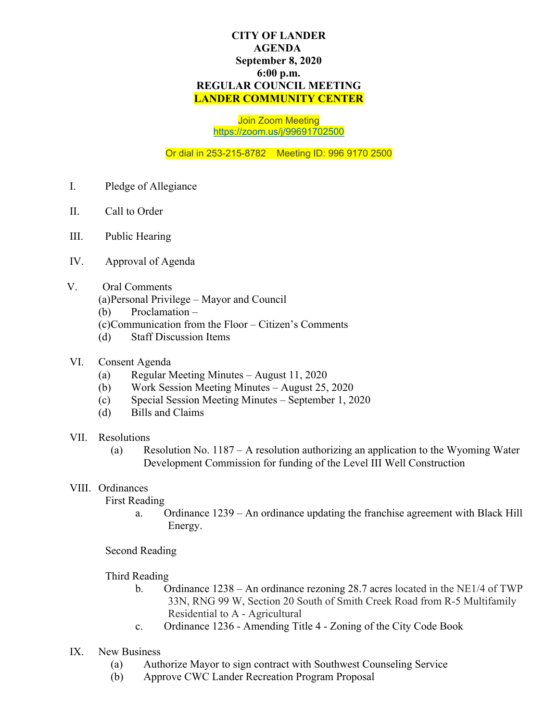## **CITY OF LANDER AGENDA September 8, 2020 6:00 p.m. REGULAR COUNCIL MEETING LANDER COMMUNITY CENTER**

Join Zoom Meeting <https://zoom.us/j/99691702500>

Or dial in 253-215-8782 Meeting ID: 996 9170 2500

- I. Pledge of Allegiance
- II. Call to Order
- III. Public Hearing
- IV. Approval of Agenda
- V. Oral Comments
	- (a)Personal Privilege Mayor and Council
	- (b) Proclamation –
	- (c)Communication from the Floor Citizen's Comments
	- (d) Staff Discussion Items
- VI. Consent Agenda
	- (a) Regular Meeting Minutes August 11, 2020
	- (b) Work Session Meeting Minutes August 25, 2020
	- (c) Special Session Meeting Minutes September 1, 2020
	- (d) Bills and Claims
- VII. Resolutions
	- (a) Resolution No. 1187 A resolution authorizing an application to the Wyoming Water Development Commission for funding of the Level III Well Construction

## VIII. Ordinances

First Reading

a. Ordinance 1239 – An ordinance updating the franchise agreement with Black Hill Energy.

Second Reading

Third Reading

- b. Ordinance 1238 An ordinance rezoning 28.7 acres located in the NE1/4 of TWP 33N, RNG 99 W, Section 20 South of Smith Creek Road from R-5 Multifamily Residential to A - Agricultural
- c. Ordinance 1236 Amending Title 4 Zoning of the City Code Book
- IX. New Business
	- (a) Authorize Mayor to sign contract with Southwest Counseling Service
	- (b) Approve CWC Lander Recreation Program Proposal